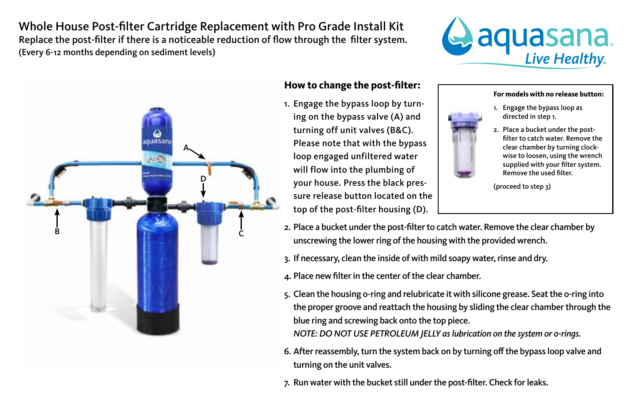Whole House Post-filter Cartridge Replacement with Pro Grade Install Kit Replace the post-filter if there is a noticeable reduction of flow through the filter system. (Every 6-12 months depending on sediment levels)





## **How to change the post-filter:**

1. Engage the bypass loop by turning on the bypass valve (A) and turning off unit valves (B&C). Please note that with the bypass loop engaged unfiltered water will flow into the plumbing of your house. Press the black pressure release button located on the top of the post-filter housing (D).

## **For models with no release button:**

- 1. Engage the bypass loop as directed in step 1.
- 2. Place a bucket under the postfilter to catch water. Remove the clear chamber by turning clockwise to loosen, using the wrench supplied with your filter system. Remove the used filter.

(proceed to step 3)

- 2. Place a bucket under the post-filter to catch water. Remove the clear chamber by unscrewing the lower ring of the housing with the provided wrench.
- 3. If necessary, clean the inside of with mild soapy water, rinse and dry.
- 4. Place new filter in the center of the clear chamber.
- 5. Clean the housing o-ring and relubricate it with silicone grease. Seat the o-ring into the proper groove and reattach the housing by sliding the clear chamber through the blue ring and screwing back onto the top piece. *NOTE: DO NOT USE PETROLEUM JELLY as lubrication on the system or o-rings.*
- 6. After reassembly, turn the system back on by turning off the bypass loop valve and turning on the unit valves.
- 7. Run water with the bucket still under the post-filter. Check for leaks.